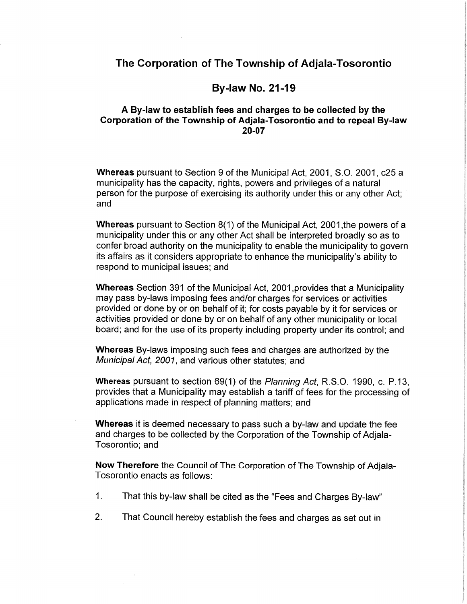# **By-law No. 21-19**

## A By-law to establish fees and charges to be collected by the Corporation of the Township of Adiala-Tosorontio and to repeal By-law 20-07

Whereas pursuant to Section 9 of the Municipal Act, 2001, S.O. 2001, c25 a municipality has the capacity, rights, powers and privileges of a natural person for the purpose of exercising its authority under this or any other Act; and

**Whereas** pursuant to Section 8(1) of the Municipal Act, 2001, the powers of a municipality under this or any other Act shall be interpreted broadly so as to confer broad authority on the municipality to enable the municipality to govern its affairs as it considers appropriate to enhance the municipality's ability to respond to municipal issues; and

Whereas Section 391 of the Municipal Act, 2001, provides that a Municipality may pass by-laws imposing fees and/or charges for services or activities provided or done by or on behalf of it; for costs payable by it for services or activities provided or done by or on behalf of any other municipality or local board; and for the use of its property including property under its control; and

Whereas By-laws imposing such fees and charges are authorized by the Municipal Act, 2001, and various other statutes; and

Whereas pursuant to section 69(1) of the Planning Act, R.S.O. 1990, c. P.13, provides that a Municipality may establish a tariff of fees for the processing of applications made in respect of planning matters; and

Whereas it is deemed necessary to pass such a by-law and update the fee and charges to be collected by the Corporation of the Township of Adjala-Tosorontio; and

Now Therefore the Council of The Corporation of The Township of Adjala-Tosorontio enacts as follows:

- $1<sub>1</sub>$ That this by-law shall be cited as the "Fees and Charges By-law"
- $2.$ That Council hereby establish the fees and charges as set out in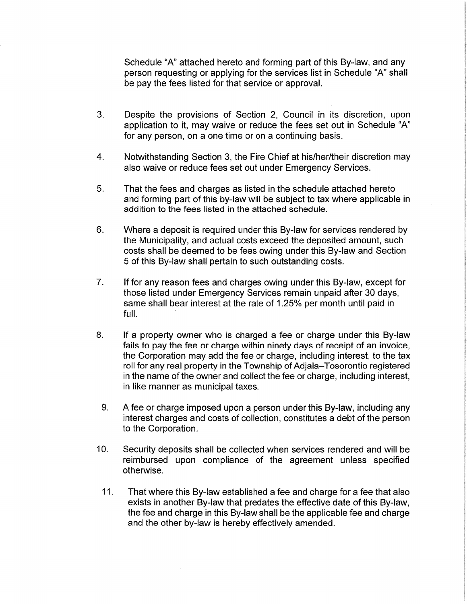Schedule "A" attached hereto and forming part of this By-law, and any person requesting or applying for the services list in Schedule "A" shall be pay the fees listed for that service or approval.

- $3<sub>1</sub>$ Despite the provisions of Section 2, Council in its discretion, upon application to it, may waive or reduce the fees set out in Schedule "A" for any person, on a one time or on a continuing basis.
- $\overline{4}$ . Notwithstanding Section 3, the Fire Chief at his/her/their discretion may also waive or reduce fees set out under Emergency Services.
- 5. That the fees and charges as listed in the schedule attached hereto and forming part of this by-law will be subject to tax where applicable in addition to the fees listed in the attached schedule.
- 6. Where a deposit is required under this By-law for services rendered by the Municipality, and actual costs exceed the deposited amount, such costs shall be deemed to be fees owing under this By-law and Section 5 of this By-law shall pertain to such outstanding costs.
- $7<sub>1</sub>$ If for any reason fees and charges owing under this By-law, except for those listed under Emergency Services remain unpaid after 30 days, same shall bear interest at the rate of 1.25% per month until paid in full.
- 8. If a property owner who is charged a fee or charge under this By-law fails to pay the fee or charge within ninety days of receipt of an invoice, the Corporation may add the fee or charge, including interest, to the tax roll for any real property in the Township of Adjala-Tosorontio registered in the name of the owner and collect the fee or charge, including interest, in like manner as municipal taxes.
	- 9. A fee or charge imposed upon a person under this By-law, including any interest charges and costs of collection, constitutes a debt of the person to the Corporation.
- $10.$ Security deposits shall be collected when services rendered and will be reimbursed upon compliance of the agreement unless specified otherwise.
	- $11.$ That where this By-law established a fee and charge for a fee that also exists in another By-law that predates the effective date of this By-law. the fee and charge in this By-law shall be the applicable fee and charge and the other by-law is hereby effectively amended.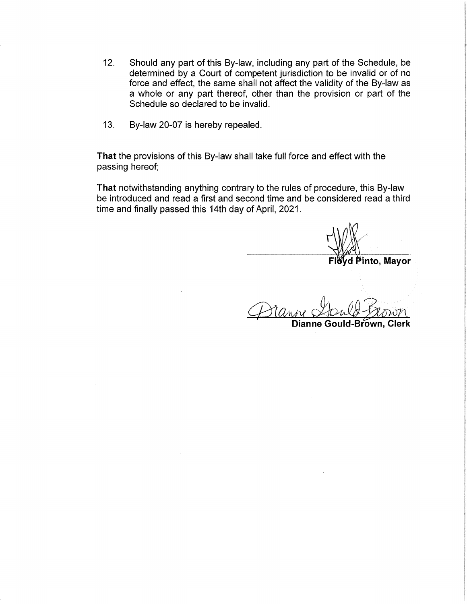- $12.$ Should any part of this By-law, including any part of the Schedule, be determined by a Court of competent jurisdiction to be invalid or of no force and effect, the same shall not affect the validity of the By-law as a whole or any part thereof, other than the provision or part of the Schedule so declared to be invalid.
- $13.$ By-law 20-07 is hereby repealed.

That the provisions of this By-law shall take full force and effect with the passing hereof;

That notwithstanding anything contrary to the rules of procedure, this By-law be introduced and read a first and second time and be considered read a third time and finally passed this 14th day of April, 2021.

Pinto, Mayor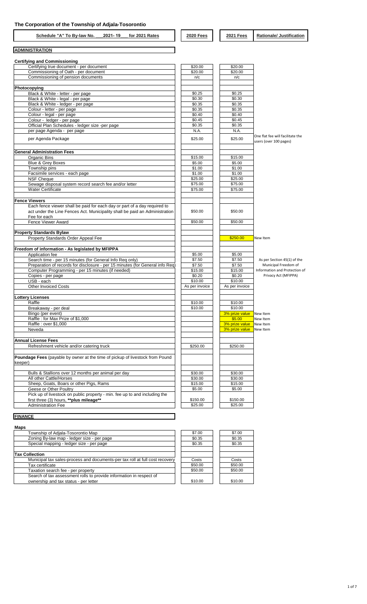**ADMINISTRATION**

**Schedule "A" To By-law No. \_\_\_2021- 19\_\_\_ for 2021 Rates 2020 Fees 2021 Fees Rationale/ Justification**

 $\overline{\phantom{0}}$ 

| <b>Certifying and Commissioning</b>                                                      |                    |                         |                                                            |
|------------------------------------------------------------------------------------------|--------------------|-------------------------|------------------------------------------------------------|
| Certifying true document - per document                                                  | \$20.00<br>\$20.00 | \$20.00                 |                                                            |
| Commissioning of Oath - per document<br>Commissioning of pension documents               | n/c                | \$20.00<br>n/c          |                                                            |
|                                                                                          |                    |                         |                                                            |
| Photocopying                                                                             |                    |                         |                                                            |
| Black & White - letter - per page                                                        | \$0.25             | \$0.25                  |                                                            |
| Black & White - legal - per page                                                         | \$0.30             | \$0.30                  |                                                            |
| Black & White - ledger - per page                                                        | \$0.35<br>\$0.35   | \$0.35<br>\$0.35        |                                                            |
| Colour - letter - per page<br>Colour - legal - per page                                  | \$0.40             | \$0.40                  |                                                            |
| Colour - ledger - per page                                                               | \$0.45             | \$0.45                  |                                                            |
| Official Plan Schedules - ledger size -per page                                          | \$0.35             | \$0.35                  |                                                            |
| per page Agenda - per page                                                               | N.A.               | N.A.                    |                                                            |
| per Agenda Package                                                                       | \$25.00            | \$25.00                 | One flat fee will facilitate the<br>users (over 100 pages) |
| <b>General Administration Fees</b>                                                       |                    |                         |                                                            |
| Organic Bins                                                                             | \$15.00            | \$15.00                 |                                                            |
| Blue & Grey Boxes                                                                        | \$5.00             | \$5.00                  |                                                            |
| Township pins                                                                            | \$1.00             | \$1.00                  |                                                            |
| Facsimile services - each page                                                           | \$1.00             | \$1.00                  |                                                            |
| <b>NSF Cheque</b>                                                                        | \$25.00            | \$25.00                 |                                                            |
| Sewage disposal system record search fee and/or letter                                   | \$75.00            | \$75.00                 |                                                            |
| <b>Water Certificate</b>                                                                 | \$75.00            | \$75.00                 |                                                            |
| <b>Fence Viewers</b>                                                                     |                    |                         |                                                            |
| Each fence viewer shall be paid for each day or part of a day required to                |                    |                         |                                                            |
| act under the Line Fences Act. Municipality shall be paid an Administration              | \$50.00            | \$50.00                 |                                                            |
| Fee for each                                                                             |                    |                         |                                                            |
| Fence Viewer Award                                                                       | \$50.00            | \$50.00                 |                                                            |
| <b>Property Standards Bylaw</b>                                                          |                    |                         |                                                            |
| Property Standards Order Appeal Fee                                                      |                    | \$250.00                | New Item                                                   |
|                                                                                          |                    |                         |                                                            |
| Freedom of information - As legislated by MFIPPA                                         |                    |                         |                                                            |
| Application fee                                                                          | \$5.00             | \$5.00                  |                                                            |
| Search time - per 15 minutes (for General Info Reg only)                                 | \$7.50             | \$7.50                  | As per Section 45(1) of the                                |
| Preparation of records for disclosure - per 15 minutes (for General info Req)            | \$7.50             | \$7.50                  | Municipal Freedom of                                       |
| Computer Programming - per 15 minutes (if needed)                                        | \$15.00<br>\$0.20  | \$15.00<br>\$0.20       | Information and Protection of<br>Privacy Act (MFIPPA)      |
| Copies - per page<br>USB - each                                                          | \$10.00            | \$10.00                 |                                                            |
| Other Invoiced Costs                                                                     | As per invoice     | As per invoice          |                                                            |
|                                                                                          |                    |                         |                                                            |
| <b>Lottery Licenses</b><br>Raffle                                                        | \$10.00            | \$10.00                 |                                                            |
| Breakaway - per deal                                                                     | \$10.00            | \$10.00                 |                                                            |
| Bingo (per event)                                                                        |                    | 3% prize value New Item |                                                            |
| Raffle: for Max Prize of \$1,000                                                         |                    | \$5.00                  | New Item                                                   |
| Raffle: over \$1,000                                                                     |                    | 3% prize value New Item |                                                            |
| Neveda                                                                                   |                    | 3% prize value New Item |                                                            |
| <b>Annual License Fees</b>                                                               |                    |                         |                                                            |
| Refreshment vehicle and/or catering truck                                                | \$250.00           | \$250.00                |                                                            |
| Poundage Fees (payable by owner at the time of pickup of livestock from Pound<br>keeper) |                    |                         |                                                            |
|                                                                                          |                    |                         |                                                            |
| Bulls & Stallions over 12 months per animal per day                                      | \$30.00            | \$30.00                 |                                                            |
| All other Cattle/Horses                                                                  | \$30.00            | \$30.00                 |                                                            |
| Sheep, Goats, Boars or other Pigs, Rams<br>Geese or Other Poultry                        | \$15.00            | \$15.00                 |                                                            |
| Pick up of livestock on public property - min. fee up to and including the               | \$5.00             | \$5.00                  |                                                            |
| first three (3) hours, ** plus mileage**                                                 | \$150.00           | \$150.00                |                                                            |
| <b>Administration Fee</b>                                                                | \$25.00            | \$25.00                 |                                                            |
| <b>FINANCE</b>                                                                           |                    |                         |                                                            |
|                                                                                          |                    |                         |                                                            |
| Maps                                                                                     |                    |                         |                                                            |

| maps                                                                         |         |         |
|------------------------------------------------------------------------------|---------|---------|
| Township of Adjala-Tosorontio Map                                            | \$7.00  | \$7.00  |
| Zoning By-law map - ledger size - per page                                   | \$0.35  | \$0.35  |
| Special mapping - ledger size - per page                                     | \$0.35  | \$0.35  |
|                                                                              |         |         |
| <b>Tax Collection</b>                                                        |         |         |
| Municipal tax sales-process and documents-per tax roll at full cost recovery | Costs   | Costs   |
| Tax certificate                                                              | \$50.00 | \$50.00 |
| Taxation search fee - per property                                           | \$50.00 | \$50.00 |
| Search of tax assessment rolls to provide information in respect of          |         |         |
| ownership and tax status - per letter                                        | \$10.00 | \$10.00 |
|                                                                              |         |         |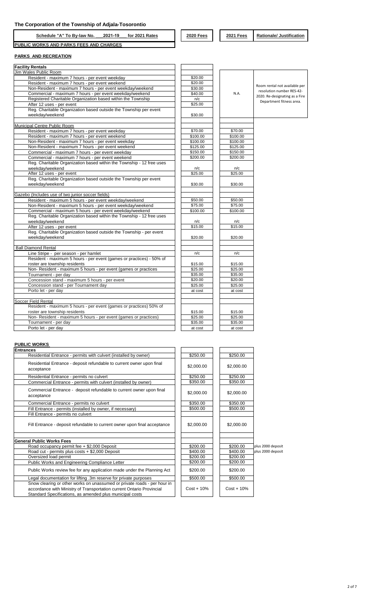| 2021-19<br>Schedule "A" To By-law No.<br>for 2021<br>Rates | <b>2020 Fees</b> | <b>2021 Fees</b> | Justificatior<br>Rationale/ |
|------------------------------------------------------------|------------------|------------------|-----------------------------|
| <b>PUBLIC</b><br>` WORKS AND PARKS FEES AND CHARGES        |                  |                  |                             |

### **PARKS AND RECREATION**

| <b>Facility Rentals</b>                                               |          |          |                                |
|-----------------------------------------------------------------------|----------|----------|--------------------------------|
| Jim Wales Public Room                                                 |          |          |                                |
| Resident - maximum 7 hours - per event weekday                        | \$20.00  |          |                                |
| Resident - maximum 7 hours - per event weekend                        | \$20.00  |          |                                |
| Non-Resident - maximum 7 hours - per event weekday/weekend            | \$30.00  |          | Room rental not available per  |
| Commercial - maximum 7 hours - per event weekday/weekend              | \$40.00  | N.A.     | resolution number RES-42-      |
| Registered Charitable Organization based within the Township          | n/c      |          | 2020. Re-designating as a Fire |
| After 12 uses - per event                                             | \$25.00  |          | Department fitness area.       |
| Reg. Charitable Organization based outside the Township per event     |          |          |                                |
| weekday/weekend                                                       | \$30.00  |          |                                |
|                                                                       |          |          |                                |
| Municipal Centre Public Room                                          |          |          |                                |
| Resident - maximum 7 hours - per event weekday                        | \$70.00  | \$70.00  |                                |
| Resident - maximum 7 hours - per event weekend                        | \$100.00 | \$100.00 |                                |
| Non-Resident - maximum 7 hours - per event weekday                    | \$100.00 | \$100.00 |                                |
| Non-Resident - maximum 7 hours - per event weekend                    | \$125.00 | \$125.00 |                                |
| Commercial - maximum 7 hours - per event weekday                      | \$150.00 | \$150.00 |                                |
| Commercial - maximum 7 hours - per event weekend                      | \$200.00 | \$200.00 |                                |
| Reg. Charitable Organization based within the Township - 12 free uses |          |          |                                |
| weekday/weekend                                                       | n/c      | n/c      |                                |
| After 12 uses - per event                                             | \$25.00  | \$25.00  |                                |
| Reg. Charitable Organization based outside the Township per event     |          |          |                                |
| weekdav/weekend                                                       | \$30.00  | \$30.00  |                                |
|                                                                       |          |          |                                |
| Gazebo (Includes use of two junior soccer fields)                     |          |          |                                |
| Resident - maximum 5 hours - per event weekday/weekend                | \$50.00  | \$50.00  |                                |
| Non-Resident - maximum 5 hours - per event weekday/weekend            | \$75.00  | \$75.00  |                                |
| Commercial - maximum 5 hours - per event weekday/weekend              | \$100.00 | \$100.00 |                                |
| Reg. Charitable Organization based within the Township - 12 free uses |          |          |                                |
| weekday/weekend                                                       | n/c      | n/c      |                                |
| After 12 uses - per event                                             | \$15.00  | \$15.00  |                                |
| Reg. Charitable Organization based outside the Township - per event   |          |          |                                |
| weekday/weekend                                                       | \$20.00  | \$20.00  |                                |
|                                                                       |          |          |                                |
| <b>Ball Diamond Rental</b>                                            |          |          |                                |
| Line Stripe - per season - per hamlet                                 | n/c      | n/c      |                                |
| Resident - maximum 5 hours - per event (games or practices) - 50% of  |          |          |                                |
| roster are township residents                                         | \$15.00  | \$15.00  |                                |
| Non-Resident - maximum 5 hours - per event (games or practices        | \$25.00  | \$25.00  |                                |
| Tournament - per day                                                  | \$35.00  | \$35.00  |                                |
| Concession stand - maximum 5 hours - per event                        | \$20.00  | \$20.00  |                                |
| Concession stand - per Tournament day                                 | \$25.00  | \$25.00  |                                |
| Porto let - per day                                                   | at cost  | at cost  |                                |
|                                                                       |          |          |                                |
| Soccer Field Rental                                                   |          |          |                                |
| Resident - maximum 5 hours - per event (games or practices) 50% of    |          |          |                                |
| roster are township residents                                         | \$15.00  | \$15.00  |                                |
| Non-Resident - maximum 5 hours - per event (games or practices)       | \$25.00  | \$25.00  |                                |
| Tournament - per day                                                  | \$35.00  | \$35.00  |                                |
| Porto let - per day                                                   | at cost  | at cost  |                                |

## **PUBLIC WORKS**

| PUBLIC WURNS                                                                        |               |               |                   |
|-------------------------------------------------------------------------------------|---------------|---------------|-------------------|
| <b>Entrances</b>                                                                    |               |               |                   |
| Residential Entrance - permits with culvert (installed by owner)                    | \$250.00      | \$250.00      |                   |
| Residential Entrance - deposit refundable to current owner upon final<br>acceptance | \$2,000.00    | \$2,000.00    |                   |
| Residential Entrance - permits no culvert                                           | \$250.00      | \$250.00      |                   |
| Commercial Entrance - permits with culvert (installed by owner)                     | \$350.00      | \$350.00      |                   |
| Commercial Entrance - deposit refundable to current owner upon final<br>acceptance  | \$2,000.00    | \$2,000.00    |                   |
| Commercial Entrance - permits no culvert                                            | \$350.00      | \$350.00      |                   |
| Fill Entrance - permits (installed by owner, if necessary)                          | \$500.00      | \$500.00      |                   |
| Fill Entrance - permits no culvert                                                  |               |               |                   |
| Fill Entrance - deposit refundable to current owner upon final acceptance           | \$2,000.00    | \$2,000.00    |                   |
| <b>General Public Works Fees</b>                                                    |               |               |                   |
| Road occupancy permit fee + \$2,000 Deposit                                         | \$200.00      | \$200.00      | plus 2000 deposit |
| Road cut - permits plus costs + \$2,000 Deposit                                     | \$400.00      | \$400.00      | plus 2000 deposit |
| Oversized load permit                                                               | \$200.00      | \$200.00      |                   |
| Public Works and Engineering Compliance Letter                                      | \$200.00      | \$200.00      |                   |
| Public Works review fee for any application made under the Planning Act             | \$200.00      | \$200.00      |                   |
| Legal documentation for lifting .3m reserve for private purposes                    | \$500.00      | \$500.00      |                   |
| Snow clearing or other works on unassumed or private roads - per hour in            |               |               |                   |
| accordance with Ministry of Transportation current Ontario Provincial               | $Cost + 10\%$ | $Cost + 10\%$ |                   |
| Standard Specifications, as amended plus municipal costs                            |               |               |                   |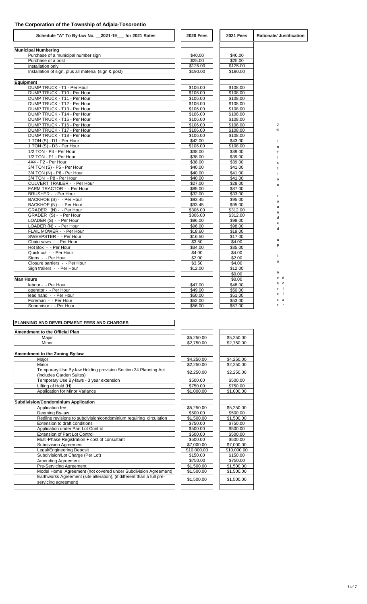| Schedule "A" To By-law No. 2021-19 for 2021 Rates     | <b>2020 Fees</b>   | <b>2021 Fees</b>   | <b>Rationale/ Justification</b> |
|-------------------------------------------------------|--------------------|--------------------|---------------------------------|
| <b>Municipal Numbering</b>                            |                    |                    |                                 |
| Purchase of a municipal number sign                   | \$40.00            | \$40.00            |                                 |
| Purchase of a post                                    | \$25.00            | \$25.00            |                                 |
| Installation only                                     | \$125.00           | \$125.00           |                                 |
| Installation of sign, plus all material (sign & post) | \$190.00           | \$190.00           |                                 |
| <b>Equipment</b>                                      |                    |                    |                                 |
| DUMP TRUCK - T1 - Per Hour                            | \$106.00           | \$108.00           |                                 |
| DUMP TRUCK - T10 - Per Hour                           | \$106.00           | \$108.00           |                                 |
| DUMP TRUCK - T11 - Per Hour                           | \$106.00           | \$108.00           |                                 |
| DUMP TRUCK - T12 - Per Hour                           | \$106.00           | \$108.00           |                                 |
| DUMP TRUCK - T13 - Per Hour                           | \$106.00           | \$108.00           |                                 |
| DUMP TRUCK - T14 - Per Hour                           | \$106.00           | \$108.00           |                                 |
| DUMP TRUCK - T15 - Per Hour                           | \$106.00           | \$108.00           |                                 |
| DUMP TRUCK - T16 - Per Hour                           | \$106.00           | \$108.00           | $\overline{2}$                  |
| DUMP TRUCK - T17 - Per Hour                           | \$106.00           | \$108.00           | $\%$                            |
| DUMP TRUCK - T18 - Per Hour                           | \$106.00           | \$108.00           |                                 |
| 1 TON (S) - D1 - Per Hour                             | \$42.00            | \$43.00            | Ť                               |
| 1 TON (S) - D3 - Per Hour                             | \$106.00           | \$108.00           | n                               |
| 1/2 TON - P4 - Per Hour                               | \$38.00            | \$39.00            | f                               |
| 1/2 TON - P1 - Per Hour                               | \$38.00            | \$39.00            |                                 |
| 4X4 - P2 - Per Hour                                   | \$38.00            | \$39.00            | a                               |
| 3/4 TON (S) - P5 - Per Hour                           | \$40.00            | \$41.00            | t                               |
| 3/4 TON (N) - P6 - Per Hour                           | \$40.00            | \$41.00            | j                               |
| 3/4 TON - P8 - Per Hour                               | \$40.00            | \$41.00            | $\Omega$                        |
| <b>CULVERT TRAILER - - Per Hour</b>                   | \$27.00            | \$28.00            | n                               |
| FARM TRACTOR - - Per Hour                             | \$85.00            | \$87.00            |                                 |
| BRUSHER - - Per Hour                                  | \$32.00            | \$33.00            | r                               |
| BACKHOE (S) - - Per Hour                              | \$93.45            | \$95.00            | $\Omega$                        |
| BACKHOE (N) - - Per Hour                              | \$93.45            | \$95.00            | <b>u</b>                        |
| GRADER (N) - - Per Hour                               | \$306.00           | \$312.00           | n                               |
| GRADER (S) - - Per Hour                               | \$306.00           | \$312.00           | d                               |
| LOADER (S) - - Per Hour                               | \$96.00            | \$98.00            | e                               |
| LOADER (N) - - Per Hour<br>FLAIL MOWER - - Per Hour   | \$96.00<br>\$18.60 | \$98.00<br>\$19.00 | d                               |
| SWEEPSTER - - Per Hour                                | \$16.50            | \$17.00            |                                 |
| Chain saws - - Per Hour                               | \$3.50             | \$4.00             | u                               |
| Hot Box - - Per Hour                                  | \$34.00            | \$35.00            | p                               |
| Quick cut - - Per Hour                                | \$4.00             | \$4.00             |                                 |
| Signs - - Per Hour                                    | \$2.00             | \$2.00             | t                               |
| Closure barriers - - Per Hour                         | \$3.50             | \$4.00             | $\mathsf{o}$                    |
| Sign trailers - - Per Hour                            | \$12.00            | \$12.00            |                                 |
|                                                       |                    | \$0.00             | n                               |
| <b>Man Hours</b>                                      |                    | \$0.00             | e d                             |
| labour - - Per Hour                                   | \$47.00            | \$48.00            | a o                             |
| operator - - Per Hour                                 | \$49.00            | \$50.00            | $r \mid$                        |
| lead hand - - Per Hour                                | \$50.00            | \$51.00            | $e$                             |
| Foreman - - Per Hour                                  | \$52.00            | \$53.00            | s a                             |
| Supervisor - - Per Hour                               | \$56.00            | \$57.00            | t r                             |

| PLANNING AND DEVELOPMENT FEES AND CHARGES |  |  |  |  |
|-------------------------------------------|--|--|--|--|
|                                           |  |  |  |  |

| Amendment to the Official Plan                                                             |                        |                        |
|--------------------------------------------------------------------------------------------|------------------------|------------------------|
| Maior                                                                                      | \$5,250.00             | \$5,250.00             |
| Minor                                                                                      | \$2,750.00             | \$2,750.00             |
| Amendment to the Zoning By-law                                                             |                        |                        |
| Maior                                                                                      | \$4.250.00             | \$4,250.00             |
| Minor                                                                                      | \$2,250.00             | \$2,250.00             |
| Temporary Use By-law Holding provision Section 34 Planning Act<br>(includes Garden Suites) | \$2,250.00             | \$2,250.00             |
| Temporary Use By-laws - 3 year extension                                                   | \$500.00               | \$500.00               |
| Lifting of Hold (H)                                                                        | \$750.00               | \$750.00               |
| Application for Minor Variance                                                             | \$1,000.00             | \$1,000.00             |
| <b>Subdivision/Condominium Application</b><br>Application fee<br>Deeming By-law            | \$5,250.00<br>\$500.00 | \$5,250.00<br>\$500.00 |
|                                                                                            |                        |                        |
| Redline revisions to subdivision/condominium requiring circulation                         | \$1.500.00             | \$1.500.00             |
| Extension to draft conditions                                                              | \$750.00               | \$750.00               |
| Application under Part Lot Control                                                         | \$500.00               | \$500.00               |
| <b>Extension of Part Lot Control</b>                                                       | \$500.00               | \$500.00               |
| Multi-Phase Registration + cost of consultant                                              | \$500.00               | \$500.00               |
| <b>Subdivision Agreement</b>                                                               | \$7,000.00             | \$7,000.00             |
| Legal/Engineering Deposit                                                                  | \$10,000.00            | \$10,000.00            |
| Subdivision/Lot Charge (Per Lot)                                                           | \$150.00               | \$150.00               |
| Amending Agreement                                                                         | \$750.00               | \$750.00               |
| <b>Pre-Servicing Agreement</b>                                                             | \$1,500.00             | \$1,500.00             |
| Model Home Agreement (not covered under Subdivision Agreement)                             | \$1,500.00             | \$1,500.00             |
| Earthworks Agreement (site alteration), (if different than a full pre-                     | \$1,500.00             | \$1,500.00             |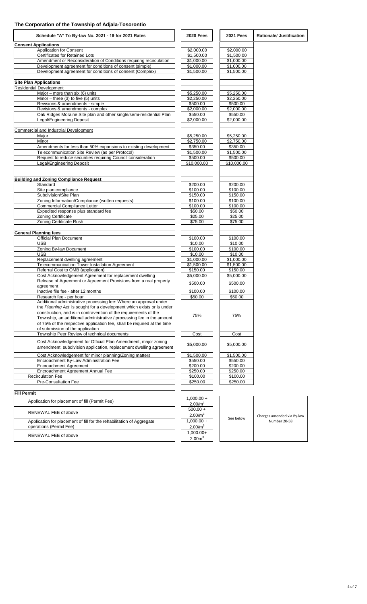| Schedule "A" To By-law No. 2021 - 19 for 2021 Rates                                                         | <b>2020 Fees</b>    | 2021 Fees   | <b>Rationale/ Justification</b> |
|-------------------------------------------------------------------------------------------------------------|---------------------|-------------|---------------------------------|
| <b>Consent Applications</b>                                                                                 |                     |             |                                 |
| <b>Application for Consent</b>                                                                              | \$2,000.00          | \$2,000.00  |                                 |
| <b>Certificates for Retained Lots</b>                                                                       | \$1,500.00          | \$1,500.00  |                                 |
| Amendment or Reconsideration of Conditions requiring recirculation                                          | \$1,000.00          | \$1,000.00  |                                 |
| Development agreement for conditions of consent (simple)                                                    | \$1,000.00          | \$1,000.00  |                                 |
| Development agreement for conditions of consent (Complex)                                                   | \$1,500.00          | \$1,500.00  |                                 |
|                                                                                                             |                     |             |                                 |
| <b>Site Plan Applications</b>                                                                               |                     |             |                                 |
| <b>Residential Development</b>                                                                              |                     |             |                                 |
| Major – more than six $(6)$ units                                                                           | \$5,250.00          | \$5,250.00  |                                 |
| Minor $-$ three (3) to five (5) units                                                                       | \$2,250.00          | \$2,250.00  |                                 |
| Revisions & amendments - simple                                                                             | \$500.00            | \$500.00    |                                 |
| Revisions & amendments - complex                                                                            | \$2,000.00          | \$2,000.00  |                                 |
| Oak Ridges Moraine Site plan and other single/semi-residential Plan                                         | \$550.00            | \$550.00    |                                 |
| Legal/Engineering Deposit                                                                                   | \$2,000.00          | \$2,000.00  |                                 |
| Commercial and Industrial Development                                                                       |                     |             |                                 |
| Major                                                                                                       | \$5,250.00          | \$5,250.00  |                                 |
| Minor                                                                                                       |                     |             |                                 |
|                                                                                                             | \$2,750.00          | \$2,750.00  |                                 |
| Amendments for less than 50% expansions to existing development                                             | \$350.00            | \$350.00    |                                 |
| Telecommunication Site Review (as per Protocol)                                                             | \$1.500.00          | \$1,500.00  |                                 |
| Request to reduce securities requiring Council consideration                                                | \$500.00            | \$500.00    |                                 |
| Legal/Engineering Deposit                                                                                   | \$10,000.00         | \$10,000.00 |                                 |
|                                                                                                             |                     |             |                                 |
| <b>Building and Zoning Compliance Request</b>                                                               |                     |             |                                 |
| Standard                                                                                                    | \$200.00            | \$200.00    |                                 |
| Site plan compliance                                                                                        | \$100.00            | \$100.00    |                                 |
| Subdivision/Site Plan                                                                                       | \$150.00            | \$150.00    |                                 |
| Zoning Information/Compliance (written requests)                                                            | \$100.00            | \$100.00    |                                 |
| <b>Commercial Compliance Letter</b>                                                                         | \$100.00            | \$100.00    |                                 |
| Expedited response plus standard fee                                                                        | \$50.00             | \$50.00     |                                 |
| <b>Zoning Certificate</b>                                                                                   | \$25.00             | \$25.00     |                                 |
| Zoning Certificate Rush                                                                                     |                     |             |                                 |
|                                                                                                             | \$75.00             | \$75.00     |                                 |
| <b>General Planning fees</b>                                                                                |                     |             |                                 |
| Official Plan Document                                                                                      | \$100.00            | \$100.00    |                                 |
| <b>USB</b>                                                                                                  | \$10.00             | \$10.00     |                                 |
| Zoning By-law Document                                                                                      | \$100.00            | \$100.00    |                                 |
| <b>USB</b>                                                                                                  | \$10.00             | \$10.00     |                                 |
| Replacement dwelling agreement                                                                              | \$1,000.00          | \$1,000.00  |                                 |
| Telecommunication Tower Installation Agreement                                                              | \$1,500.00          | \$1,500.00  |                                 |
| Referral Cost to OMB (application)                                                                          | \$150.00            | \$150.00    |                                 |
|                                                                                                             |                     |             |                                 |
| Cost Acknowledgement Agreement for replacement dwelling                                                     | \$5,000.00          | \$5,000.00  |                                 |
| Release of Agreement or Agreement Provisions from a real property<br>agreement                              | \$500.00            | \$500.00    |                                 |
| Inactive file fee - after 12 months                                                                         | \$100.00            | \$100.00    |                                 |
| Research fee - per hour                                                                                     | \$50.00             | \$50.00     |                                 |
| Additional administrative processing fee: Where an approval under                                           |                     |             |                                 |
| the Planning Act is sought for a development which exists or is under                                       |                     |             |                                 |
| construction, and is in contravention of the requirements of the                                            | 75%                 | 75%         |                                 |
| Township, an additional administrative / processing fee in the amount                                       |                     |             |                                 |
| of 75% of the respective application fee, shall be required at the time<br>of submission of the application |                     |             |                                 |
| Township Peer Review of technical documents                                                                 | Cost                | Cost        |                                 |
| Cost Acknowledgement for Official Plan Amendment, major zoning                                              |                     |             |                                 |
| amendment, subdivision application, replacement dwelling agreement                                          | \$5,000.00          | \$5,000.00  |                                 |
| Cost Acknowledgement for minor planning/Zoning matters                                                      | \$1,500.00          | \$1,500.00  |                                 |
| Encroachment By-Law Administration Fee                                                                      | \$550.00            | \$550.00    |                                 |
| <b>Encroachment Agreement</b>                                                                               | \$200.00            | \$200.00    |                                 |
| Encroachment Agreement Annual Fee                                                                           | \$250.00            | \$250.00    |                                 |
| <b>Recirculation Fee</b>                                                                                    | \$100.00            | \$100.00    |                                 |
| Pre-Consultation Fee                                                                                        | \$250.00            | \$250.00    |                                 |
|                                                                                                             |                     |             |                                 |
| <b>Fill Permit</b>                                                                                          |                     |             |                                 |
| Application for placement of fill (Permit Fee)                                                              | $1,000.00 +$        |             |                                 |
|                                                                                                             | 2.00/m <sup>3</sup> |             |                                 |
| RENEWAL FEE of above                                                                                        | $500.00 +$          |             |                                 |
|                                                                                                             | 2.00/m <sup>3</sup> |             | Charges amended via By-law      |
| Application for placement of fill for the rehabilitation of Aggregate                                       | $1,000.00 +$        | See below   | Number 20-58                    |
| operations (Permit Fee)                                                                                     | 2.00/m <sup>3</sup> |             |                                 |
|                                                                                                             |                     |             |                                 |
| RENEWAL FEE of above                                                                                        | 1,000.00+           |             |                                 |
|                                                                                                             | 2.00 <sup>m</sup>   |             |                                 |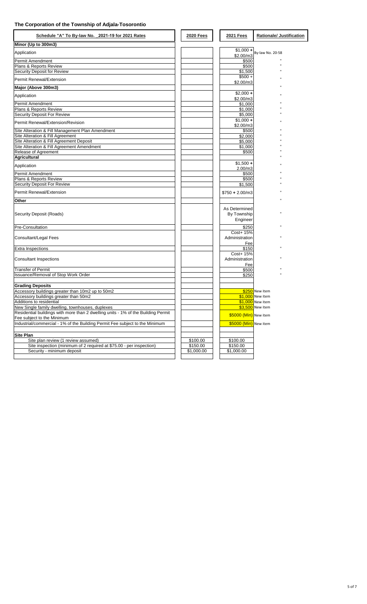| Schedule "A" To By-law No. 2021-19 for 2021 Rates                                                               | <b>2020 Fees</b>     | <b>2021 Fees</b>        | <b>Rationale/ Justification</b> |
|-----------------------------------------------------------------------------------------------------------------|----------------------|-------------------------|---------------------------------|
| Minor (Up to 300m3)                                                                                             |                      |                         |                                 |
| Application                                                                                                     |                      | $$1,000 +$              | By-law No. 20-58                |
|                                                                                                                 |                      | \$2.00/m3               |                                 |
| Permit Amendment<br>Plans & Reports Review                                                                      |                      | \$500<br>\$500          |                                 |
| Security Deposit for Review                                                                                     |                      | \$1,500                 |                                 |
|                                                                                                                 |                      | $$500 +$                |                                 |
| Permit Renewal/Extension                                                                                        |                      | \$2.00/m3               |                                 |
| Major (Above 300m3)                                                                                             |                      |                         |                                 |
| Application                                                                                                     |                      | $$2,000 +$<br>\$2.00/m3 |                                 |
| Permit Amendment                                                                                                |                      | \$1,000                 |                                 |
| Plans & Reports Review                                                                                          |                      | \$1,000                 |                                 |
| Security Deposit For Review                                                                                     |                      | \$5,000                 |                                 |
| Permit Renewal/Extension/Revision                                                                               |                      | $$1,000 +$<br>\$2.00/m3 |                                 |
| Site Alteration & Fill Management Plan Amendment                                                                |                      | \$500                   |                                 |
| Site Alteration & Fill Agreement                                                                                |                      | \$2,000                 |                                 |
| Site Alteration & Fill Agreement Deposit                                                                        |                      | \$5,000                 |                                 |
| Site Alteration & Fill Agreement Amendment                                                                      |                      | \$1,000                 |                                 |
| Release of Agreement                                                                                            |                      | \$500                   |                                 |
| <b>Agricultural</b>                                                                                             |                      |                         |                                 |
| Application                                                                                                     |                      | $$1,500 +$              |                                 |
| Permit Amendment                                                                                                |                      | 2.00/m3<br>\$500        |                                 |
| Plans & Reports Review                                                                                          |                      | \$500                   |                                 |
| Security Deposit For Review                                                                                     |                      | \$1,500                 |                                 |
| Permit Renewal/Extension                                                                                        |                      | $$750 + 2.00/m3$        |                                 |
| Other                                                                                                           |                      |                         |                                 |
|                                                                                                                 |                      | As Determined           |                                 |
| Security Deposit (Roads)                                                                                        |                      | By Township             |                                 |
|                                                                                                                 |                      | Engineer                |                                 |
|                                                                                                                 |                      | \$250                   |                                 |
| <b>Pre-Consultation</b>                                                                                         |                      | Cost+ 15%               |                                 |
| Consultant/Legal Fees                                                                                           |                      | Administration          |                                 |
|                                                                                                                 |                      | Fee                     |                                 |
| Extra Inspections                                                                                               |                      | \$150                   |                                 |
|                                                                                                                 |                      | Cost+ 15%               |                                 |
| <b>Consultant Inspections</b>                                                                                   |                      | Administration          |                                 |
|                                                                                                                 |                      | Fee                     |                                 |
| <b>Transfer of Permit</b><br>Issuance/Removal of Stop Work Order                                                |                      | \$500<br>\$250          |                                 |
|                                                                                                                 |                      |                         |                                 |
| <b>Grading Deposits</b>                                                                                         |                      |                         |                                 |
| Accessory buildings greater than 10m2 up to 50m2                                                                |                      |                         | \$250 New item                  |
| Accessory buildings greater than 50m2                                                                           |                      |                         | \$1,000 New item                |
| Additions to residential                                                                                        |                      |                         | \$1,000 New item                |
| New Single family dwelling, townhouses, duplexes                                                                |                      |                         | \$3,500 New item                |
| Residential buildings with more than 2 dwelling units - 1% of the Building Permit<br>Fee subject to the Minimum |                      | \$5000 (Min) New item   |                                 |
| Industrial/commercial - 1% of the Building Permit Fee subject to the Minimum                                    |                      | \$5000 (Min) New item   |                                 |
|                                                                                                                 |                      |                         |                                 |
| Site Plan                                                                                                       |                      | \$100.00                |                                 |
| Site plan review (1 review assumed)<br>Site inspection (minimum of 2 required at \$75.00 - per inspection)      | \$100.00<br>\$150.00 | \$150.00                |                                 |
| Security - minimum deposit                                                                                      | \$1,000.00           | \$1,000.00              |                                 |
|                                                                                                                 |                      |                         |                                 |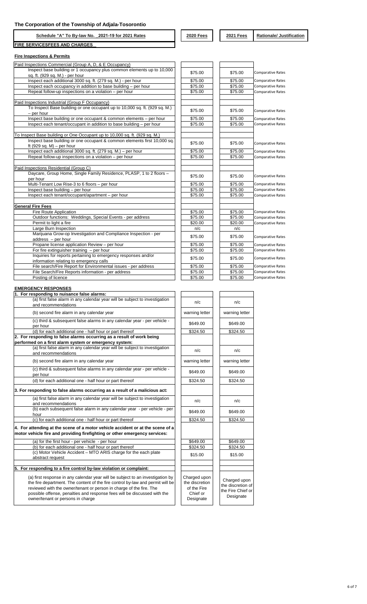**Schedule "A" To By-law No. \_2021-19 for 2021 Rates 2020 Fees 2021 Fees Rationale/ Justification FIRE SERVICES FEES AND CHARGES**

#### **Fire Inspections & Permits**

| Paid Inspections Commercial (Group A, D, & E Occupancy)                                               |         |         |                          |
|-------------------------------------------------------------------------------------------------------|---------|---------|--------------------------|
| Inspect base building or 1 occupancy plus common elements up to 10,000                                | \$75.00 | \$75.00 |                          |
| sq. ft. (929 sq. M.) - per hour                                                                       |         |         | <b>Comparative Rates</b> |
| Inspect each additional 3000 sq. ft. (279 sq. M.) - per hour                                          | \$75.00 | \$75.00 | <b>Comparative Rates</b> |
| Inspect each occupancy in addition to base building - per hour                                        | \$75.00 | \$75.00 | <b>Comparative Rates</b> |
| Repeat follow-up inspections on a violation - per hour                                                | \$75.00 | \$75.00 | <b>Comparative Rates</b> |
|                                                                                                       |         |         |                          |
| Paid Inspections Industrial (Group F Occupancy)                                                       |         |         |                          |
| To Inspect Base building or one occupant up to 10,000 sq. ft. (929 sq. M.)<br>- per hour              | \$75.00 | \$75.00 | <b>Comparative Rates</b> |
| Inspect base building or one occupant & common elements - per hour                                    | \$75.00 | \$75.00 | <b>Comparative Rates</b> |
| Inspect each tenant/occupant in addition to base building - per hour                                  | \$75.00 | \$75.00 | <b>Comparative Rates</b> |
|                                                                                                       |         |         |                          |
| To Inspect Base building or One Occupant up to 10,000 sq. ft. (929 sq. M.)                            |         |         |                          |
| Inspect base building or one occupant & common elements first 10,000 sq.<br>ft (929 sq. M) – per hour | \$75.00 | \$75.00 | <b>Comparative Rates</b> |
| Inspect each additional 3000 sq. ft. (279 sq. M.) - per hour                                          | \$75.00 | \$75.00 | <b>Comparative Rates</b> |
| Repeat follow-up inspections on a violation - per hour                                                | \$75.00 | \$75.00 | <b>Comparative Rates</b> |
|                                                                                                       |         |         |                          |
| Paid Inspections Residential (Group C)                                                                |         |         |                          |
| Daycare, Group Home, Single Family Residence, PLASP, 1 to 2 floors -                                  | \$75.00 | \$75.00 | <b>Comparative Rates</b> |
| per hour                                                                                              |         |         |                          |
| Multi-Tenant Low Rise-3 to 6 floors - per hour                                                        | \$75.00 | \$75.00 | Comparative Rates        |
| Inspect base building - per hour                                                                      | \$75.00 | \$75.00 | <b>Comparative Rates</b> |
| Inspect each tenant/occupant/apartment - per hour                                                     | \$75.00 | \$75.00 | <b>Comparative Rates</b> |
| <b>General Fire Fees</b>                                                                              |         |         |                          |
| Fire Route Application                                                                                | \$75.00 | \$75.00 | <b>Comparative Rates</b> |
| Outdoor functions: Weddings, Special Events - per address                                             | \$75.00 | \$75.00 | <b>Comparative Rates</b> |
| Permit to light a fire                                                                                | \$20.00 | \$20.00 | <b>Comparative Rates</b> |
| Large Burn Inspection                                                                                 | n/c     | n/c     |                          |
| Marijuana Grow-op Investigation and Compliance Inspection - per                                       | \$75.00 | \$75.00 | <b>Comparative Rates</b> |
| address - per hour                                                                                    |         |         |                          |
| Propane license application Review - per hour                                                         | \$75.00 | \$75.00 | <b>Comparative Rates</b> |
| For fire extinguisher training $-$ per hour                                                           | \$75.00 | \$75.00 | <b>Comparative Rates</b> |
| Inquiries for reports pertaining to emergency responses and/or                                        | \$75.00 | \$75.00 | <b>Comparative Rates</b> |
| information relating to emergency calls                                                               |         |         |                          |
| File search/Fire Report for Environmental issues - per address                                        | \$75.00 | \$75.00 | <b>Comparative Rates</b> |
| File Search/Fire Reports information - per address                                                    | \$75.00 | \$75.00 | <b>Comparative Rates</b> |
| Posting of licence                                                                                    | \$75.00 | \$75.00 | <b>Comparative Rates</b> |

#### **EMERGENCY RESPONSES**

| 1. For responding to nuisance false alarms:                                                                                                                                                                                                                                                                                                              |                                                                        |                                                                   |
|----------------------------------------------------------------------------------------------------------------------------------------------------------------------------------------------------------------------------------------------------------------------------------------------------------------------------------------------------------|------------------------------------------------------------------------|-------------------------------------------------------------------|
| (a) first false alarm in any calendar year will be subject to investigation                                                                                                                                                                                                                                                                              | n/c                                                                    | n/c                                                               |
| and recommendations                                                                                                                                                                                                                                                                                                                                      |                                                                        |                                                                   |
| (b) second fire alarm in any calendar year                                                                                                                                                                                                                                                                                                               | warning letter                                                         | warning letter                                                    |
| (c) third & subsequent false alarms in any calendar year - per vehicle -<br>per hour                                                                                                                                                                                                                                                                     | \$649.00                                                               | \$649.00                                                          |
| (d) for each additional one - half hour or part thereof                                                                                                                                                                                                                                                                                                  | \$324.50                                                               | \$324.50                                                          |
| 2. For responding to false alarms occurring as a result of work being<br>performed on a first alarm system or emergency system:                                                                                                                                                                                                                          |                                                                        |                                                                   |
| (a) first false alarm in any calendar year will be subject to investigation<br>and recommendations                                                                                                                                                                                                                                                       | n/c                                                                    | n/c                                                               |
| (b) second fire alarm in any calendar year                                                                                                                                                                                                                                                                                                               | warning letter                                                         | warning letter                                                    |
| (c) third & subsequent false alarms in any calendar year - per vehicle -<br>per hour                                                                                                                                                                                                                                                                     | \$649.00                                                               | \$649.00                                                          |
| (d) for each additional one - half hour or part thereof                                                                                                                                                                                                                                                                                                  | \$324.50                                                               | \$324.50                                                          |
| 3. For responding to false alarms occurring as a result of a malicious act:                                                                                                                                                                                                                                                                              |                                                                        |                                                                   |
| (a) first false alarm in any calendar year will be subject to investigation<br>and recommendations                                                                                                                                                                                                                                                       | n/c                                                                    | n/c                                                               |
| (b) each subsequent false alarm in any calendar year - per vehicle - per<br>hour                                                                                                                                                                                                                                                                         | \$649.00                                                               | \$649.00                                                          |
| (c) for each additional one - half hour or part thereof                                                                                                                                                                                                                                                                                                  | \$324.50                                                               | \$324.50                                                          |
| 4. For attending at the scene of a motor vehicle accident or at the scene of a<br>motor vehicle fire and providing firefighting or other emergency services:                                                                                                                                                                                             |                                                                        |                                                                   |
| (a) for the first hour - per vehicle - per hour                                                                                                                                                                                                                                                                                                          | \$649.00                                                               | \$649.00                                                          |
| (b) for each additional one - half hour or part thereof                                                                                                                                                                                                                                                                                                  | \$324.50                                                               | \$324.50                                                          |
| (c) Motor Vehicle Accident - MTO ARIS charge for the each plate<br>abstract request                                                                                                                                                                                                                                                                      | \$15.00                                                                | \$15.00                                                           |
|                                                                                                                                                                                                                                                                                                                                                          |                                                                        |                                                                   |
| 5. For responding to a fire control by-law violation or complaint:                                                                                                                                                                                                                                                                                       |                                                                        |                                                                   |
| (a) first response in any calendar year will be subject to an investigation by<br>the fire department. The content of the fire control by-law and permit will be<br>reviewed with the owner/tenant or person in charge of the fire. The<br>possible offense, penalties and response fees will be discussed with the<br>owner/tenant or persons in charge | Charged upon<br>the discretion<br>of the Fire<br>Chief or<br>Designate | Charged upon<br>the discretion o<br>the Fire Chief o<br>Designate |

| n/c                                                                    | n/c                                                                 |
|------------------------------------------------------------------------|---------------------------------------------------------------------|
| warning letter                                                         | warning letter                                                      |
| \$649.00                                                               | \$649.00                                                            |
| \$324.50                                                               | \$324.50                                                            |
|                                                                        |                                                                     |
| n/c                                                                    | n/c                                                                 |
| warning letter                                                         | warning letter                                                      |
| \$649.00                                                               | \$649.00                                                            |
| \$324.50                                                               | \$324.50                                                            |
|                                                                        |                                                                     |
| n/c                                                                    | n/c                                                                 |
| \$649.00                                                               | \$649.00                                                            |
| \$324.50                                                               | \$324.50                                                            |
|                                                                        |                                                                     |
| \$649.00                                                               | \$649.00                                                            |
| \$324.50                                                               | \$324.50                                                            |
| \$15.00                                                                | \$15.00                                                             |
|                                                                        |                                                                     |
|                                                                        |                                                                     |
| Charged upon<br>the discretion<br>of the Fire<br>Chief or<br>Designate | Charged upon<br>the discretion of<br>the Fire Chief or<br>Designate |